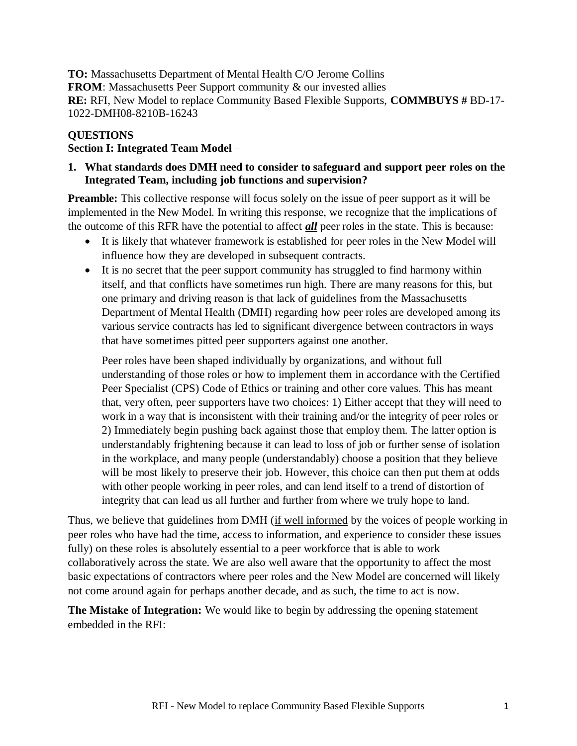**TO:** Massachusetts Department of Mental Health C/O Jerome Collins **FROM**: Massachusetts Peer Support community & our invested allies **RE:** RFI, New Model to replace Community Based Flexible Supports, **COMMBUYS #** BD-17- 1022-DMH08-8210B-16243

## **QUESTIONS**

## **Section I: Integrated Team Model** –

## **1. What standards does DMH need to consider to safeguard and support peer roles on the Integrated Team, including job functions and supervision?**

**Preamble:** This collective response will focus solely on the issue of peer support as it will be implemented in the New Model. In writing this response, we recognize that the implications of the outcome of this RFR have the potential to affect *all* peer roles in the state. This is because:

- It is likely that whatever framework is established for peer roles in the New Model will influence how they are developed in subsequent contracts.
- It is no secret that the peer support community has struggled to find harmony within itself, and that conflicts have sometimes run high. There are many reasons for this, but one primary and driving reason is that lack of guidelines from the Massachusetts Department of Mental Health (DMH) regarding how peer roles are developed among its various service contracts has led to significant divergence between contractors in ways that have sometimes pitted peer supporters against one another.

Peer roles have been shaped individually by organizations, and without full understanding of those roles or how to implement them in accordance with the Certified Peer Specialist (CPS) Code of Ethics or training and other core values. This has meant that, very often, peer supporters have two choices: 1) Either accept that they will need to work in a way that is inconsistent with their training and/or the integrity of peer roles or 2) Immediately begin pushing back against those that employ them. The latter option is understandably frightening because it can lead to loss of job or further sense of isolation in the workplace, and many people (understandably) choose a position that they believe will be most likely to preserve their job. However, this choice can then put them at odds with other people working in peer roles, and can lend itself to a trend of distortion of integrity that can lead us all further and further from where we truly hope to land.

Thus, we believe that guidelines from DMH (if well informed by the voices of people working in peer roles who have had the time, access to information, and experience to consider these issues fully) on these roles is absolutely essential to a peer workforce that is able to work collaboratively across the state. We are also well aware that the opportunity to affect the most basic expectations of contractors where peer roles and the New Model are concerned will likely not come around again for perhaps another decade, and as such, the time to act is now.

**The Mistake of Integration:** We would like to begin by addressing the opening statement embedded in the RFI: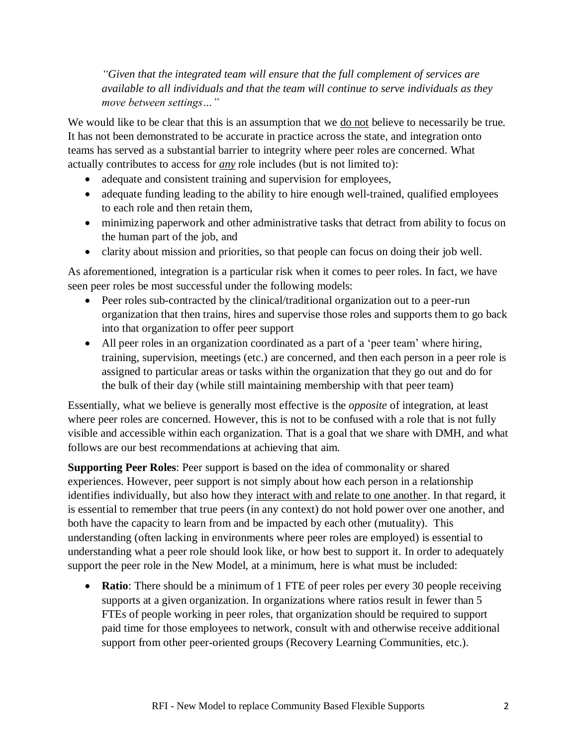*"Given that the integrated team will ensure that the full complement of services are available to all individuals and that the team will continue to serve individuals as they move between settings…"*

We would like to be clear that this is an assumption that we <u>do not</u> believe to necessarily be true. It has not been demonstrated to be accurate in practice across the state, and integration onto teams has served as a substantial barrier to integrity where peer roles are concerned. What actually contributes to access for *any* role includes (but is not limited to):

- adequate and consistent training and supervision for employees,
- adequate funding leading to the ability to hire enough well-trained, qualified employees to each role and then retain them,
- minimizing paperwork and other administrative tasks that detract from ability to focus on the human part of the job, and
- clarity about mission and priorities, so that people can focus on doing their job well.

As aforementioned, integration is a particular risk when it comes to peer roles. In fact, we have seen peer roles be most successful under the following models:

- Peer roles sub-contracted by the clinical/traditional organization out to a peer-run organization that then trains, hires and supervise those roles and supports them to go back into that organization to offer peer support
- All peer roles in an organization coordinated as a part of a 'peer team' where hiring, training, supervision, meetings (etc.) are concerned, and then each person in a peer role is assigned to particular areas or tasks within the organization that they go out and do for the bulk of their day (while still maintaining membership with that peer team)

Essentially, what we believe is generally most effective is the *opposite* of integration, at least where peer roles are concerned. However, this is not to be confused with a role that is not fully visible and accessible within each organization. That is a goal that we share with DMH, and what follows are our best recommendations at achieving that aim.

**Supporting Peer Roles**: Peer support is based on the idea of commonality or shared experiences. However, peer support is not simply about how each person in a relationship identifies individually, but also how they interact with and relate to one another. In that regard, it is essential to remember that true peers (in any context) do not hold power over one another, and both have the capacity to learn from and be impacted by each other (mutuality). This understanding (often lacking in environments where peer roles are employed) is essential to understanding what a peer role should look like, or how best to support it. In order to adequately support the peer role in the New Model, at a minimum, here is what must be included:

• **Ratio**: There should be a minimum of 1 FTE of peer roles per every 30 people receiving supports at a given organization. In organizations where ratios result in fewer than 5 FTEs of people working in peer roles, that organization should be required to support paid time for those employees to network, consult with and otherwise receive additional support from other peer-oriented groups (Recovery Learning Communities, etc.).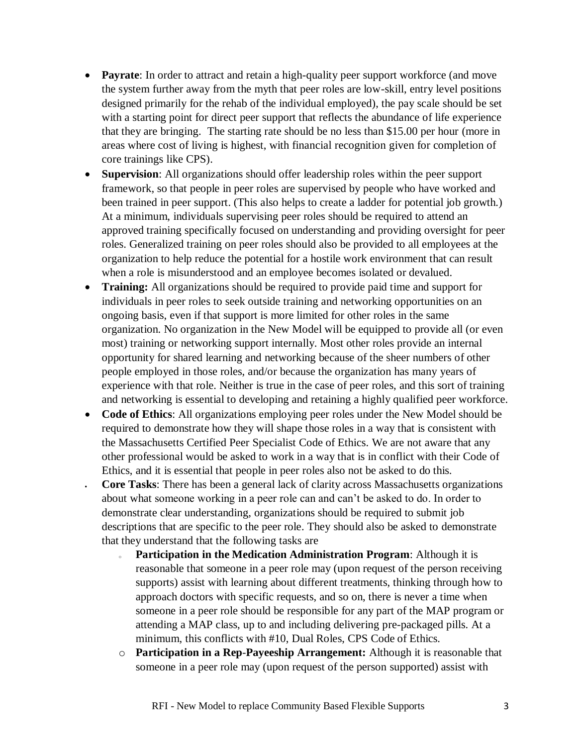- **Payrate**: In order to attract and retain a high-quality peer support workforce (and move the system further away from the myth that peer roles are low-skill, entry level positions designed primarily for the rehab of the individual employed), the pay scale should be set with a starting point for direct peer support that reflects the abundance of life experience that they are bringing. The starting rate should be no less than \$15.00 per hour (more in areas where cost of living is highest, with financial recognition given for completion of core trainings like CPS).
- **Supervision**: All organizations should offer leadership roles within the peer support framework, so that people in peer roles are supervised by people who have worked and been trained in peer support. (This also helps to create a ladder for potential job growth.) At a minimum, individuals supervising peer roles should be required to attend an approved training specifically focused on understanding and providing oversight for peer roles. Generalized training on peer roles should also be provided to all employees at the organization to help reduce the potential for a hostile work environment that can result when a role is misunderstood and an employee becomes isolated or devalued.
- **Training:** All organizations should be required to provide paid time and support for individuals in peer roles to seek outside training and networking opportunities on an ongoing basis, even if that support is more limited for other roles in the same organization. No organization in the New Model will be equipped to provide all (or even most) training or networking support internally. Most other roles provide an internal opportunity for shared learning and networking because of the sheer numbers of other people employed in those roles, and/or because the organization has many years of experience with that role. Neither is true in the case of peer roles, and this sort of training and networking is essential to developing and retaining a highly qualified peer workforce.
- **Code of Ethics**: All organizations employing peer roles under the New Model should be required to demonstrate how they will shape those roles in a way that is consistent with the Massachusetts Certified Peer Specialist Code of Ethics. We are not aware that any other professional would be asked to work in a way that is in conflict with their Code of Ethics, and it is essential that people in peer roles also not be asked to do this.
- **Core Tasks**: There has been a general lack of clarity across Massachusetts organizations about what someone working in a peer role can and can't be asked to do. In order to demonstrate clear understanding, organizations should be required to submit job descriptions that are specific to the peer role. They should also be asked to demonstrate that they understand that the following tasks are
	- <sup>o</sup> **Participation in the Medication Administration Program**: Although it is reasonable that someone in a peer role may (upon request of the person receiving supports) assist with learning about different treatments, thinking through how to approach doctors with specific requests, and so on, there is never a time when someone in a peer role should be responsible for any part of the MAP program or attending a MAP class, up to and including delivering pre-packaged pills. At a minimum, this conflicts with #10, Dual Roles, CPS Code of Ethics.
	- o **Participation in a Rep**-**Payeeship Arrangement:** Although it is reasonable that someone in a peer role may (upon request of the person supported) assist with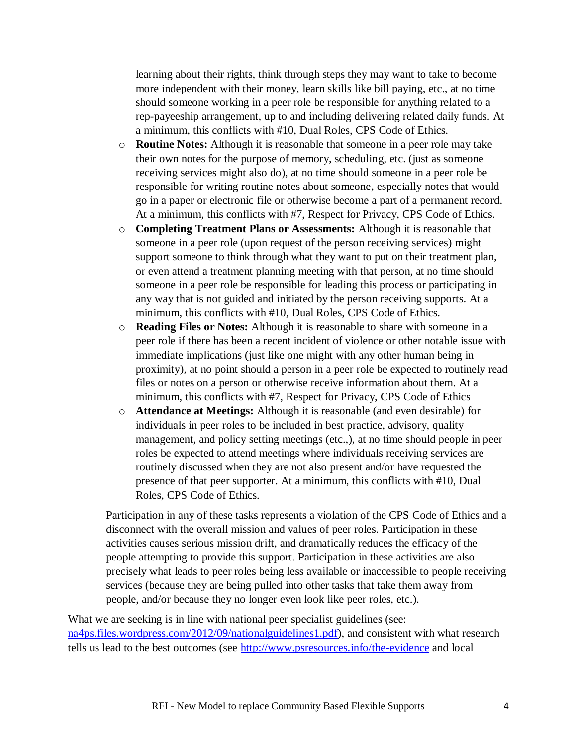learning about their rights, think through steps they may want to take to become more independent with their money, learn skills like bill paying, etc., at no time should someone working in a peer role be responsible for anything related to a rep-payeeship arrangement, up to and including delivering related daily funds. At a minimum, this conflicts with #10, Dual Roles, CPS Code of Ethics.

- o **Routine Notes:** Although it is reasonable that someone in a peer role may take their own notes for the purpose of memory, scheduling, etc. (just as someone receiving services might also do), at no time should someone in a peer role be responsible for writing routine notes about someone, especially notes that would go in a paper or electronic file or otherwise become a part of a permanent record. At a minimum, this conflicts with #7, Respect for Privacy, CPS Code of Ethics.
- o **Completing Treatment Plans or Assessments:** Although it is reasonable that someone in a peer role (upon request of the person receiving services) might support someone to think through what they want to put on their treatment plan, or even attend a treatment planning meeting with that person, at no time should someone in a peer role be responsible for leading this process or participating in any way that is not guided and initiated by the person receiving supports. At a minimum, this conflicts with #10, Dual Roles, CPS Code of Ethics.
- o **Reading Files or Notes:** Although it is reasonable to share with someone in a peer role if there has been a recent incident of violence or other notable issue with immediate implications (just like one might with any other human being in proximity), at no point should a person in a peer role be expected to routinely read files or notes on a person or otherwise receive information about them. At a minimum, this conflicts with #7, Respect for Privacy, CPS Code of Ethics
- o **Attendance at Meetings:** Although it is reasonable (and even desirable) for individuals in peer roles to be included in best practice, advisory, quality management, and policy setting meetings (etc.,), at no time should people in peer roles be expected to attend meetings where individuals receiving services are routinely discussed when they are not also present and/or have requested the presence of that peer supporter. At a minimum, this conflicts with #10, Dual Roles, CPS Code of Ethics.

Participation in any of these tasks represents a violation of the CPS Code of Ethics and a disconnect with the overall mission and values of peer roles. Participation in these activities causes serious mission drift, and dramatically reduces the efficacy of the people attempting to provide this support. Participation in these activities are also precisely what leads to peer roles being less available or inaccessible to people receiving services (because they are being pulled into other tasks that take them away from people, and/or because they no longer even look like peer roles, etc.).

What we are seeking is in line with national peer specialist guidelines (see: [na4ps.files.wordpress.com/2012/09/nationalguidelines1.pdf\)](https://na4ps.files.wordpress.com/2012/09/nationalguidelines1.pdf), and consistent with what research tells us lead to the best outcomes (see<http://www.psresources.info/the-evidence> and local